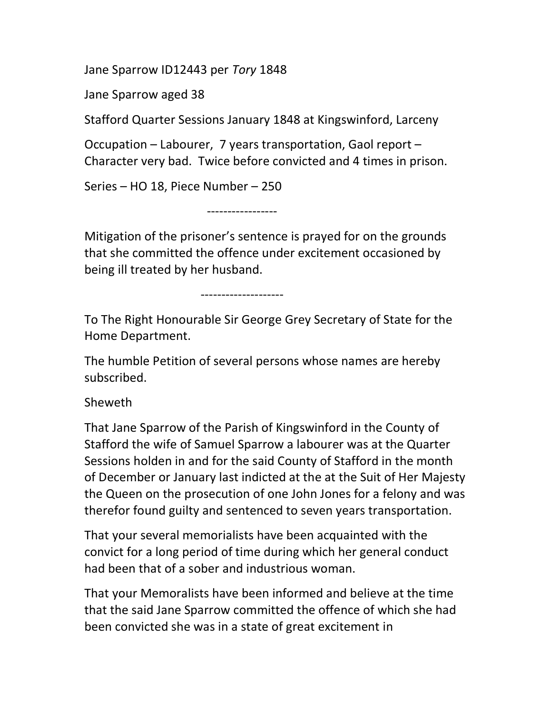Jane Sparrow ID12443 per Tory 1848

Jane Sparrow aged 38

Stafford Quarter Sessions January 1848 at Kingswinford, Larceny

Occupation – Labourer, 7 years transportation, Gaol report – Character very bad. Twice before convicted and 4 times in prison.

Series – HO 18, Piece Number – 250

-----------------

Mitigation of the prisoner's sentence is prayed for on the grounds that she committed the offence under excitement occasioned by being ill treated by her husband.

--------------------

To The Right Honourable Sir George Grey Secretary of State for the Home Department.

The humble Petition of several persons whose names are hereby subscribed.

Sheweth

That Jane Sparrow of the Parish of Kingswinford in the County of Stafford the wife of Samuel Sparrow a labourer was at the Quarter Sessions holden in and for the said County of Stafford in the month of December or January last indicted at the at the Suit of Her Majesty the Queen on the prosecution of one John Jones for a felony and was therefor found guilty and sentenced to seven years transportation.

That your several memorialists have been acquainted with the convict for a long period of time during which her general conduct had been that of a sober and industrious woman.

That your Memoralists have been informed and believe at the time that the said Jane Sparrow committed the offence of which she had been convicted she was in a state of great excitement in